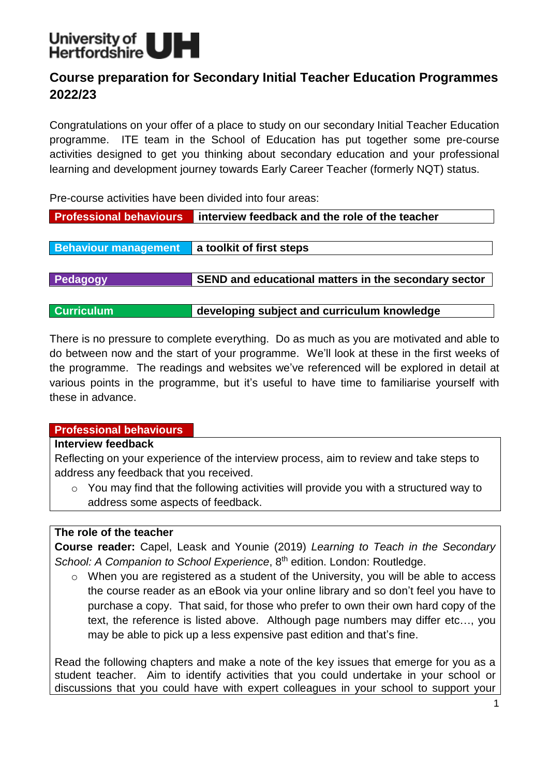

# **Course preparation for Secondary Initial Teacher Education Programmes 2022/23**

Congratulations on your offer of a place to study on our secondary Initial Teacher Education programme. ITE team in the School of Education has put together some pre-course activities designed to get you thinking about secondary education and your professional learning and development journey towards Early Career Teacher (formerly NQT) status.

Pre-course activities have been divided into four areas:

| <b>Professional behaviours</b> | interview feedback and the role of the teacher       |  |
|--------------------------------|------------------------------------------------------|--|
|                                |                                                      |  |
| <b>Behaviour management</b>    | a toolkit of first steps                             |  |
|                                |                                                      |  |
| Pedagogy                       | SEND and educational matters in the secondary sector |  |
|                                |                                                      |  |
| <b>Curriculum</b>              | developing subject and curriculum knowledge          |  |

There is no pressure to complete everything. Do as much as you are motivated and able to do between now and the start of your programme. We'll look at these in the first weeks of the programme. The readings and websites we've referenced will be explored in detail at various points in the programme, but it's useful to have time to familiarise yourself with these in advance.

## **Professional behaviours**

#### **Interview feedback**

Reflecting on your experience of the interview process, aim to review and take steps to address any feedback that you received.

o You may find that the following activities will provide you with a structured way to address some aspects of feedback.

## **The role of the teacher**

**Course reader:** Capel, Leask and Younie (2019) *Learning to Teach in the Secondary*  School: A Companion to School Experience, 8<sup>th</sup> edition. London: Routledge.

o When you are registered as a student of the University, you will be able to access the course reader as an eBook via your online library and so don't feel you have to purchase a copy. That said, for those who prefer to own their own hard copy of the text, the reference is listed above. Although page numbers may differ etc…, you may be able to pick up a less expensive past edition and that's fine.

Read the following chapters and make a note of the key issues that emerge for you as a student teacher. Aim to identify activities that you could undertake in your school or discussions that you could have with expert colleagues in your school to support your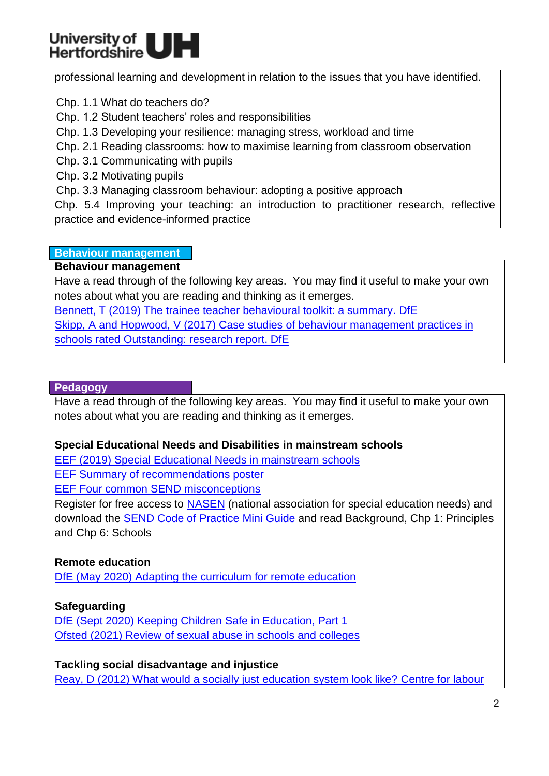# University of<br>Hertfordshire

professional learning and development in relation to the issues that you have identified.

Chp. 1.1 What do teachers do?

Chp. 1.2 Student teachers' roles and responsibilities

Chp. 1.3 Developing your resilience: managing stress, workload and time

Chp. 2.1 Reading classrooms: how to maximise learning from classroom observation

Chp. 3.1 Communicating with pupils

Chp. 3.2 Motivating pupils

Chp. 3.3 Managing classroom behaviour: adopting a positive approach

Chp. 5.4 Improving your teaching: an introduction to practitioner research, reflective practice and evidence-informed practice

## **Behaviour management**

## **Behaviour management**

Have a read through of the following key areas. You may find it useful to make your own notes about what you are reading and thinking as it emerges.

Bennett, T (2019) The [trainee teacher behavioural toolkit: a summary. DfE](https://www.gov.uk/government/publications/initial-teacher-training-itt-core-content-framework/the-trainee-teacher-behavioural-toolkit-a-summary)

Skipp, A and Hopwood, V [\(2017\) Case studies of behaviour](https://assets.publishing.service.gov.uk/government/uploads/system/uploads/attachment_data/file/602506/Behaviour_Management_Case_Studies_Report.pdf) management practices in [schools rated Outstanding: research](https://assets.publishing.service.gov.uk/government/uploads/system/uploads/attachment_data/file/602506/Behaviour_Management_Case_Studies_Report.pdf) report. DfE

## **Pedagogy**

Have a read through of the following key areas. You may find it useful to make your own notes about what you are reading and thinking as it emerges.

# **Special Educational Needs and Disabilities in mainstream schools**

EEF [\(2019\) Special Educational Needs in mainstream schools](https://educationendowmentfoundation.org.uk/tools/guidance-reports/special-educational-needs-disabilities/)

**[EEF Summary of recommendations poster](https://educationendowmentfoundation.org.uk/public/files/Publications/Send/EEF_Four_Common_SEND_Misconceptions.pdf)** 

[EEF Four common SEND misconceptions](https://educationendowmentfoundation.org.uk/public/files/Publications/Send/EEF_Four_Common_SEND_Misconceptions.pdf)

Register for free access to [NASEN](https://www.sendgateway.org.uk/register) (national association for special education needs) and download the **SEND Code of Practice Mini Guide** and read Background, Chp 1: Principles and Chp 6: Schools

# **Remote education**

[DfE \(May 2020\) Adapting the curriculum](https://www.gov.uk/guidance/adapting-the-curriculum-for-remote-education) for remote education

# **Safeguarding**

DfE (Sept 2020) [Keeping Children Safe in Education,](https://assets.publishing.service.gov.uk/government/uploads/system/uploads/attachment_data/file/912593/Keeping_children_safe_in_education_part_1_Sep_2020.pdf) Part 1 [Ofsted \(2021\) Review of sexual abuse in schools and colleges](https://www.gov.uk/government/publications/review-of-sexual-abuse-in-schools-and-colleges)

**Tackling social disadvantage and injustice**  [Reay, D \(2012\) What would a socially just education system look like?](http://classonline.org.uk/docs/2012_Diane_Reay_-_a_socially_just_education_system.pdf) Centre for labour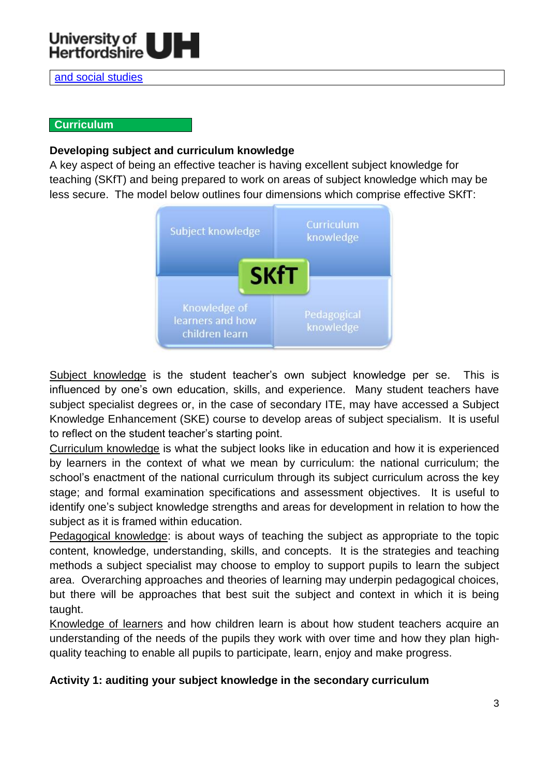

[and social studies](http://classonline.org.uk/docs/2012_Diane_Reay_-_a_socially_just_education_system.pdf)

#### **Curriculum**

#### **Developing subject and curriculum knowledge**

A key aspect of being an effective teacher is having excellent subject knowledge for teaching (SKfT) and being prepared to work on areas of subject knowledge which may be less secure. The model below outlines four dimensions which comprise effective SKfT:



Subject knowledge is the student teacher's own subject knowledge per se. This is influenced by one's own education, skills, and experience. Many student teachers have subject specialist degrees or, in the case of secondary ITE, may have accessed a Subject Knowledge Enhancement (SKE) course to develop areas of subject specialism. It is useful to reflect on the student teacher's starting point.

Curriculum knowledge is what the subject looks like in education and how it is experienced by learners in the context of what we mean by curriculum: the national curriculum; the school's enactment of the national curriculum through its subject curriculum across the key stage; and formal examination specifications and assessment objectives. It is useful to identify one's subject knowledge strengths and areas for development in relation to how the subject as it is framed within education.

Pedagogical knowledge: is about ways of teaching the subject as appropriate to the topic content, knowledge, understanding, skills, and concepts. It is the strategies and teaching methods a subject specialist may choose to employ to support pupils to learn the subject area. Overarching approaches and theories of learning may underpin pedagogical choices, but there will be approaches that best suit the subject and context in which it is being taught.

Knowledge of learners and how children learn is about how student teachers acquire an understanding of the needs of the pupils they work with over time and how they plan highquality teaching to enable all pupils to participate, learn, enjoy and make progress.

#### **Activity 1: auditing your subject knowledge in the secondary curriculum**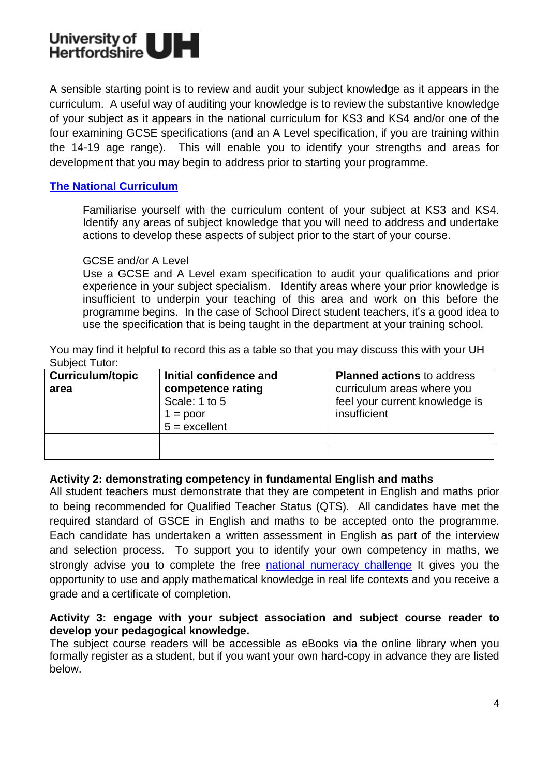

A sensible starting point is to review and audit your subject knowledge as it appears in the curriculum. A useful way of auditing your knowledge is to review the substantive knowledge of your subject as it appears in the national curriculum for KS3 and KS4 and/or one of the four examining GCSE specifications (and an A Level specification, if you are training within the 14-19 age range). This will enable you to identify your strengths and areas for development that you may begin to address prior to starting your programme.

#### **[The National](https://www.gov.uk/government/collections/national-curriculum) Curriculum**

Familiarise yourself with the curriculum content of your subject at KS3 and KS4. Identify any areas of subject knowledge that you will need to address and undertake actions to develop these aspects of subject prior to the start of your course.

#### GCSE and/or A Level

Use a GCSE and A Level exam specification to audit your qualifications and prior experience in your subject specialism. Identify areas where your prior knowledge is insufficient to underpin your teaching of this area and work on this before the programme begins. In the case of School Direct student teachers, it's a good idea to use the specification that is being taught in the department at your training school.

You may find it helpful to record this as a table so that you may discuss this with your UH Subject Tutor:

| <b>Curriculum/topic</b> | Initial confidence and                                              | <b>Planned actions to address</b>                                            |
|-------------------------|---------------------------------------------------------------------|------------------------------------------------------------------------------|
| area                    | competence rating<br>Scale: 1 to 5<br>$1 = poor$<br>$5 =$ excellent | curriculum areas where you<br>feel your current knowledge is<br>insufficient |
|                         |                                                                     |                                                                              |

#### **Activity 2: demonstrating competency in fundamental English and maths**

All student teachers must demonstrate that they are competent in English and maths prior to being recommended for Qualified Teacher Status (QTS). All candidates have met the required standard of GSCE in English and maths to be accepted onto the programme. Each candidate has undertaken a written assessment in English as part of the interview and selection process. To support you to identify your own competency in maths, we strongly advise you to complete the free [national numeracy challenge](https://www.nationalnumeracy.org.uk/challenge/?utm_source=nnsite&utm_medium=banner&utm_campaign=internal_link) It gives you the opportunity to use and apply mathematical knowledge in real life contexts and you receive a grade and a certificate of completion.

#### **Activity 3: engage with your subject association and subject course reader to develop your pedagogical knowledge.**

The subject course readers will be accessible as eBooks via the online library when you formally register as a student, but if you want your own hard-copy in advance they are listed below.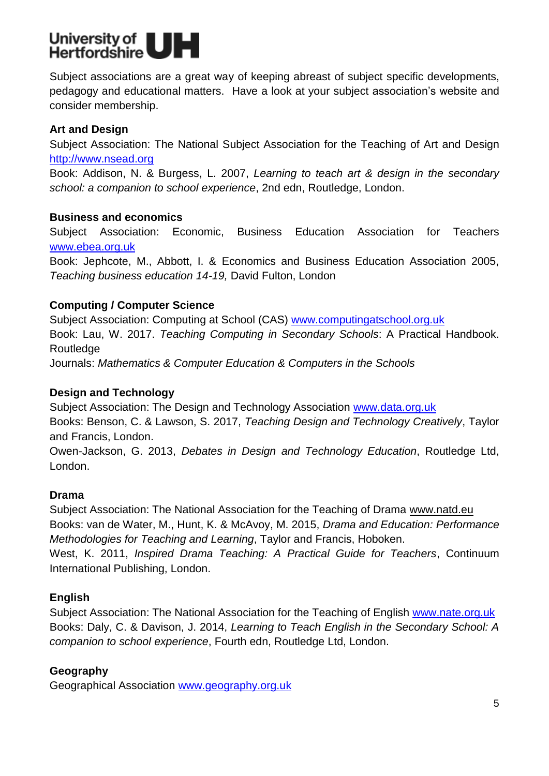

Subject associations are a great way of keeping abreast of subject specific developments, pedagogy and educational matters. Have a look at your subject association's website and consider membership.

## **Art and Design**

Subject Association: The National Subject Association for the Teaching of Art and Design [http://www.nsead.org](http://www.nsead.org/)

Book: Addison, N. & Burgess, L. 2007, *Learning to teach art & design in the secondary school: a companion to school experience*, 2nd edn, Routledge, London.

#### **Business and economics**

Subject Association: Economic, Business Education Association for Teachers [www.ebea.org.uk](http://www.ebea.org.uk/) 

Book: Jephcote, M., Abbott, I. & Economics and Business Education Association 2005, *Teaching business education 14-19,* David Fulton, London

## **Computing / Computer Science**

Subject Association: Computing at School (CAS) [www.computingatschool.org.uk](http://www.computingatschool.org.uk/) Book: Lau, W. 2017. *Teaching Computing in Secondary Schools*: A Practical Handbook. **Routledge** Journals: *Mathematics & Computer Education & Computers in the Schools*

## **Design and Technology**

International Publishing, London.

Subject Association: The Design and Technology Association [www.data.org.uk](http://www.data.org.uk/) Books: Benson, C. & Lawson, S. 2017, *Teaching Design and Technology Creatively*, Taylor and Francis, London.

Owen-Jackson, G. 2013, *Debates in Design and Technology Education*, Routledge Ltd, London.

## **Drama**

Subject Association: The National Association for the Teaching of Drama [www.natd.eu](http://www.natd.eu/) Books: van de Water, M., Hunt, K. & McAvoy, M. 2015, *Drama and Education: Performance Methodologies for Teaching and Learning*, Taylor and Francis, Hoboken. West, K. 2011, *Inspired Drama Teaching: A Practical Guide for Teachers*, Continuum

## **English**

Subject Association: The National Association for the Teaching of English [www.nate.org.uk](http://www.nate.org.uk/) Books: Daly, C. & Davison, J. 2014, *Learning to Teach English in the Secondary School: A companion to school experience*, Fourth edn, Routledge Ltd, London.

## **Geography**

Geographical Association [www.geography.org.uk](http://www.geography.org.uk/)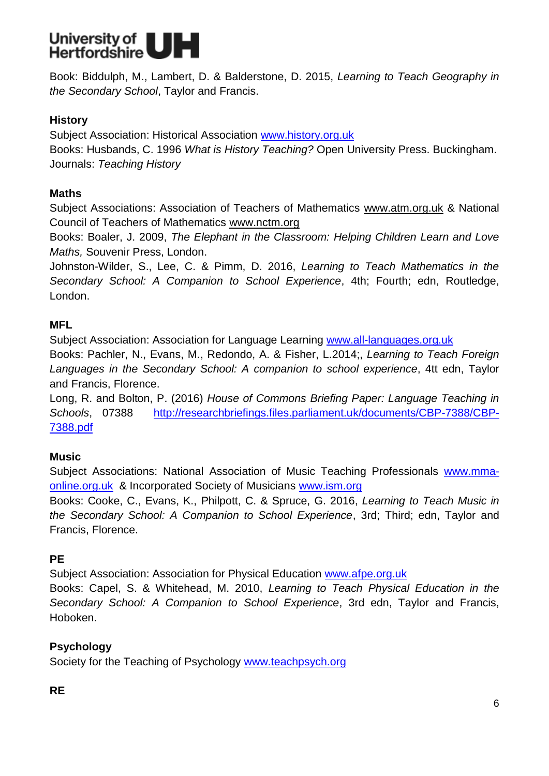

Book: Biddulph, M., Lambert, D. & Balderstone, D. 2015, *Learning to Teach Geography in the Secondary School*, Taylor and Francis.

## **History**

Subject Association: Historical Association [www.history.org.uk](http://www.history.org.uk/) Books: Husbands, C. 1996 *What is History Teaching?* Open University Press. Buckingham. Journals: *Teaching History* 

## **Maths**

Subject Associations: Association of Teachers of Mathematics [www.atm.org.uk](http://www.atm.org.uk/) & National Council of Teachers of Mathematics [www.nctm.org](http://www.nctm.org/)

Books: Boaler, J. 2009, *The Elephant in the Classroom: Helping Children Learn and Love Maths,* Souvenir Press, London.

Johnston-Wilder, S., Lee, C. & Pimm, D. 2016, *Learning to Teach Mathematics in the Secondary School: A Companion to School Experience*, 4th; Fourth; edn, Routledge, London.

## **MFL**

Subject Association: Association for Language Learning [www.all-languages.org.uk](http://www.all-languages.org.uk/)

Books: Pachler, N., Evans, M., Redondo, A. & Fisher, L.2014;, *Learning to Teach Foreign Languages in the Secondary School: A companion to school experience*, 4tt edn, Taylor and Francis, Florence.

Long, R. and Bolton, P. (2016) *House of Commons Briefing Paper: Language Teaching in Schools*, 07388 [http://researchbriefings.files.parliament.uk/documents/CBP-7388/CBP-](http://researchbriefings.files.parliament.uk/documents/CBP-7388/CBP-7388.pdf)[7388.pdf](http://researchbriefings.files.parliament.uk/documents/CBP-7388/CBP-7388.pdf)

# **Music**

Subject Associations: National Association of Music Teaching Professionals [www.mma](http://www.mma-online.org.uk/)[online.org.uk](http://www.mma-online.org.uk/) & Incorporated Society of Musicians [www.ism.org](http://www.ism.org/)

Books: Cooke, C., Evans, K., Philpott, C. & Spruce, G. 2016, *Learning to Teach Music in the Secondary School: A Companion to School Experience*, 3rd; Third; edn, Taylor and Francis, Florence.

# **PE**

Subject Association: Association for Physical Education [www.afpe.org.uk](http://www.afpe.org.uk/)

Books: Capel, S. & Whitehead, M. 2010, *Learning to Teach Physical Education in the Secondary School: A Companion to School Experience*, 3rd edn, Taylor and Francis, Hoboken.

# **Psychology**

Society for the Teaching of Psychology [www.teachpsych.org](http://www.teachpsych.org/)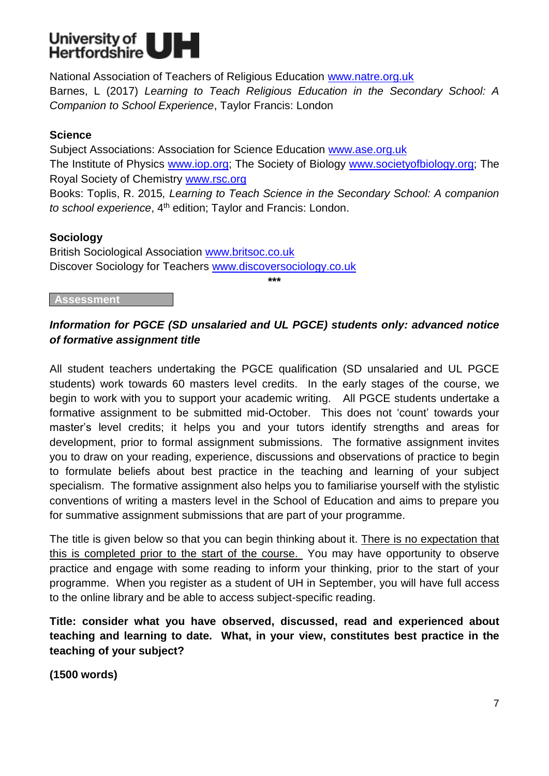

National Association of Teachers of Religious Education [www.natre.org.uk](http://www.natre.org.uk/) Barnes, L (2017) *Learning to Teach Religious Education in the Secondary School: A Companion to School Experience*, Taylor Francis: London

## **Science**

Subject Associations: Association for Science Education [www.ase.org.uk](http://www.ase.org.uk/) The Institute of Physics [www.iop.org;](http://www.iop.org/) The Society of Biology [www.societyofbiology.org;](http://www.societyofbiology.org/) The Royal Society of Chemistry [www.rsc.org](http://www.rsc.org/)

Books: Toplis, R. 2015*, Learning to Teach Science in the Secondary School: A companion to school experience*, 4<sup>th</sup> edition; Taylor and Francis: London.

## **Sociology**

British Sociological Association [www.britsoc.co.uk](http://www.britsoc.co.uk/) Discover Sociology for Teachers [www.discoversociology.co.uk](http://www.discoversociology.co.uk/)

**\*\*\***

#### **Assessment**

## *Information for PGCE (SD unsalaried and UL PGCE) students only: advanced notice of formative assignment title*

All student teachers undertaking the PGCE qualification (SD unsalaried and UL PGCE students) work towards 60 masters level credits. In the early stages of the course, we begin to work with you to support your academic writing. All PGCE students undertake a formative assignment to be submitted mid-October. This does not 'count' towards your master's level credits; it helps you and your tutors identify strengths and areas for development, prior to formal assignment submissions. The formative assignment invites you to draw on your reading, experience, discussions and observations of practice to begin to formulate beliefs about best practice in the teaching and learning of your subject specialism. The formative assignment also helps you to familiarise yourself with the stylistic conventions of writing a masters level in the School of Education and aims to prepare you for summative assignment submissions that are part of your programme.

The title is given below so that you can begin thinking about it. There is no expectation that this is completed prior to the start of the course. You may have opportunity to observe practice and engage with some reading to inform your thinking, prior to the start of your programme. When you register as a student of UH in September, you will have full access to the online library and be able to access subject-specific reading.

**Title: consider what you have observed, discussed, read and experienced about teaching and learning to date. What, in your view, constitutes best practice in the teaching of your subject?**

**(1500 words)**